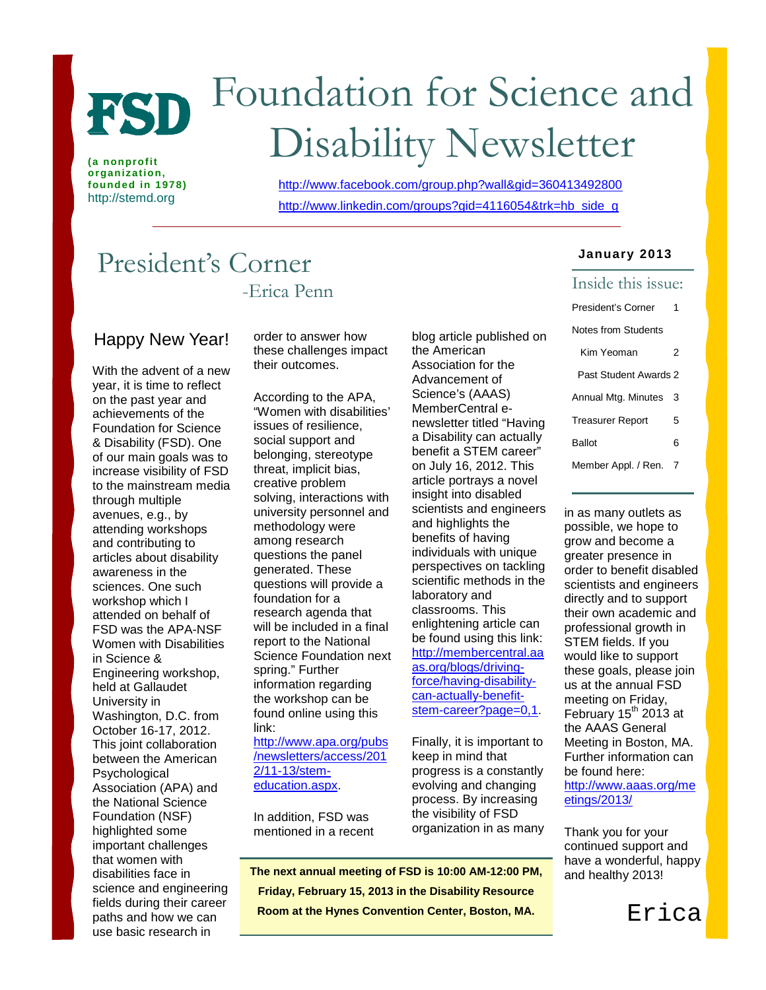

**(a nonprofit organization, founded in 1978)** http://stemd.org

# Foundation for Science and Disability Newsletter

<http://www.facebook.com/group.php?wall&gid=360413492800> [http://www.linkedin.com/groups?gid=4116054&trk=hb\\_side\\_g](http://www.linkedin.com/groups?gid=4116054&trk=hb_side_g)

# President's Corner -Erica Penn

## Happy New Year!

With the advent of a new year, it is time to reflect on the past year and achievements of the Foundation for Science & Disability (FSD). One of our main goals was to increase visibility of FSD to the mainstream media through multiple avenues, e.g., by attending workshops and contributing to articles about disability awareness in the sciences. One such workshop which I attended on behalf of FSD was the APA-NSF Women with Disabilities in Science & Engineering workshop, held at Gallaudet University in Washington, D.C. from October 16-17, 2012. This joint collaboration between the American Psychological Association (APA) and the National Science Foundation (NSF) highlighted some important challenges that women with disabilities face in science and engineering fields during their career paths and how we can use basic research in

order to answer how these challenges impact their outcomes.

According to the APA, "Women with disabilities' issues of resilience, social support and belonging, stereotype threat, implicit bias, creative problem solving, interactions with university personnel and methodology were among research questions the panel generated. These questions will provide a foundation for a research agenda that will be included in a final report to the National Science Foundation next spring." Further information regarding the workshop can be found online using this link:

[http://www.apa.org/pubs](http://www.apa.org/pubs/newsletters/access/2012/11-13/stem-education.aspx) [/newsletters/access/201](http://www.apa.org/pubs/newsletters/access/2012/11-13/stem-education.aspx) [2/11-13/stem](http://www.apa.org/pubs/newsletters/access/2012/11-13/stem-education.aspx)[education.aspx.](http://www.apa.org/pubs/newsletters/access/2012/11-13/stem-education.aspx)

In addition, FSD was mentioned in a recent blog article published on the American Association for the Advancement of Science's (AAAS) MemberCentral enewsletter titled "Having a Disability can actually benefit a STEM career" on July 16, 2012. This article portrays a novel insight into disabled scientists and engineers and highlights the benefits of having individuals with unique perspectives on tackling scientific methods in the laboratory and classrooms. This enlightening article can be found using this link: [http://membercentral.aa](http://membercentral.aaas.org/blogs/driving-force/having-disability-can-actually-benefit-stem-career?page=0,1) [as.org/blogs/driving](http://membercentral.aaas.org/blogs/driving-force/having-disability-can-actually-benefit-stem-career?page=0,1)[force/having-disability](http://membercentral.aaas.org/blogs/driving-force/having-disability-can-actually-benefit-stem-career?page=0,1)[can-actually-benefit](http://membercentral.aaas.org/blogs/driving-force/having-disability-can-actually-benefit-stem-career?page=0,1)[stem-career?page=0,1.](http://membercentral.aaas.org/blogs/driving-force/having-disability-can-actually-benefit-stem-career?page=0,1)

Finally, it is important to keep in mind that progress is a constantly evolving and changing process. By increasing the visibility of FSD organization in as many

 **The next annual meeting of FSD is 10:00 AM-12:00 PM, Friday, February 15, 2013 in the Disability Resource Room at the Hynes Convention Center, Boston, MA.**

 $\overline{a}$ 

L

#### **January 2013**

## Inside this issue: President's Corner 1 Notes from Students Kim Yeoman 2 Past Student Awards 2 Annual Mtg. Minutes 3 Treasurer Report 5 Ballot 6 Member Appl. / Ren. 7

in as many outlets as possible, we hope to grow and become a greater presence in order to benefit disabled scientists and engineers directly and to support their own academic and professional growth in STEM fields. If you would like to support these goals, please join us at the annual FSD meeting on Friday, February  $15^{th}$  2013 at the AAAS General Meeting in Boston, MA. Further information can be found here: [http://www.aaas.org/me](http://www.aaas.org/meetings/2013/) [etings/2013/](http://www.aaas.org/meetings/2013/)

Thank you for your continued support and have a wonderful, happy and healthy 2013!

Erica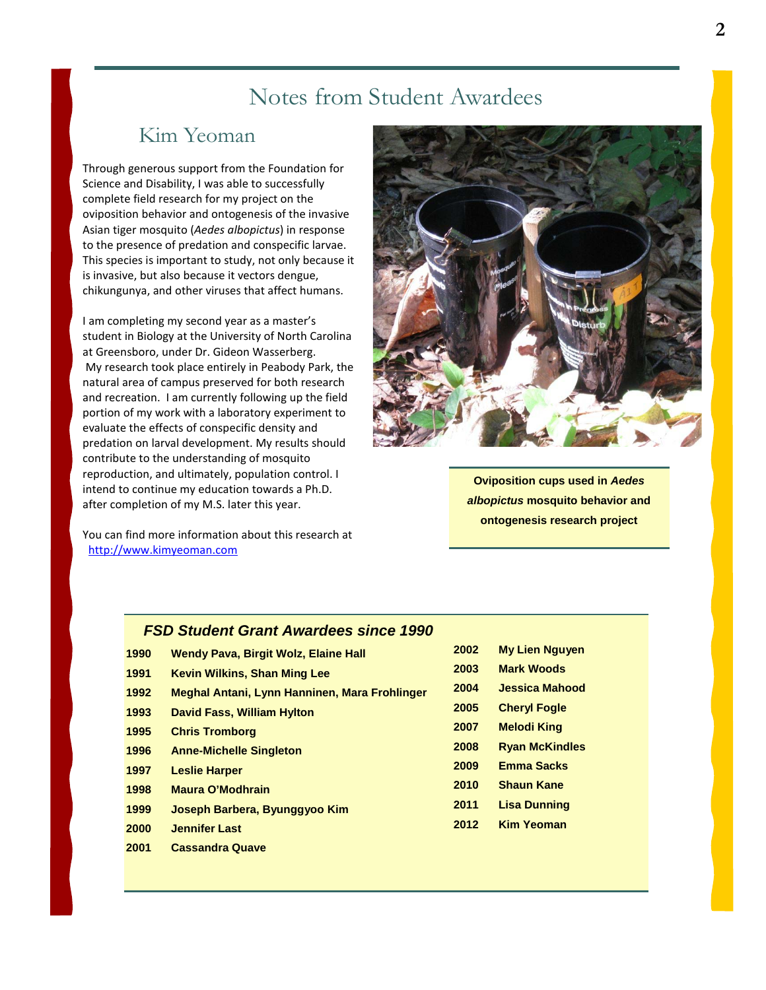# Notes from Student Awardees

# Kim Yeoman

Through generous support from the Foundation for Science and Disability, I was able to successfully complete field research for my project on the oviposition behavior and ontogenesis of the invasive Asian tiger mosquito (*Aedes albopictus*) in response to the presence of predation and conspecific larvae. This species is important to study, not only because it is invasive, but also because it vectors dengue, chikungunya, and other viruses that affect humans.

I am completing my second year as a master's student in Biology at the University of North Carolina at Greensboro, under Dr. Gideon Wasserberg. My research took place entirely in Peabody Park, the natural area of campus preserved for both research and recreation. I am currently following up the field portion of my work with a laboratory experiment to evaluate the effects of conspecific density and predation on larval development. My results should contribute to the understanding of mosquito reproduction, and ultimately, population control. I intend to continue my education towards a Ph.D. after completion of my M.S. later this year.

You can find more information about this research at  [http://www.kimyeoman.com](http://www.kimyeoman.com/)



**Oviposition cups used in** *Aedes albopictus* **mosquito behavior and ontogenesis research project**

# *FSD Student Grant Awardees since 1990*

| 1990 | Wendy Pava, Birgit Wolz, Elaine Hall          |
|------|-----------------------------------------------|
| 1991 | <b>Kevin Wilkins, Shan Ming Lee</b>           |
| 1992 | Meghal Antani, Lynn Hanninen, Mara Frohlinger |
| 1993 | <b>David Fass, William Hylton</b>             |
| 1995 | <b>Chris Tromborg</b>                         |
| 1996 | <b>Anne-Michelle Singleton</b>                |
| 1997 | <b>Leslie Harper</b>                          |
| 1998 | <b>Maura O'Modhrain</b>                       |
| 1999 | Joseph Barbera, Byunggyoo Kim                 |
| 2000 | <b>Jennifer Last</b>                          |

**2001 Cassandra Quave**

| 2002 | <b>My Lien Nguyen</b> |
|------|-----------------------|
| 2003 | <b>Mark Woods</b>     |
| 2004 | <b>Jessica Mahood</b> |
| 2005 | <b>Cheryl Fogle</b>   |
| 2007 | <b>Melodi King</b>    |
| 2008 | <b>Ryan McKindles</b> |
| 2009 | <b>Emma Sacks</b>     |
| 2010 | <b>Shaun Kane</b>     |
| 2011 | Lisa Dunning          |
| 2012 | <b>Kim Yeoman</b>     |
|      |                       |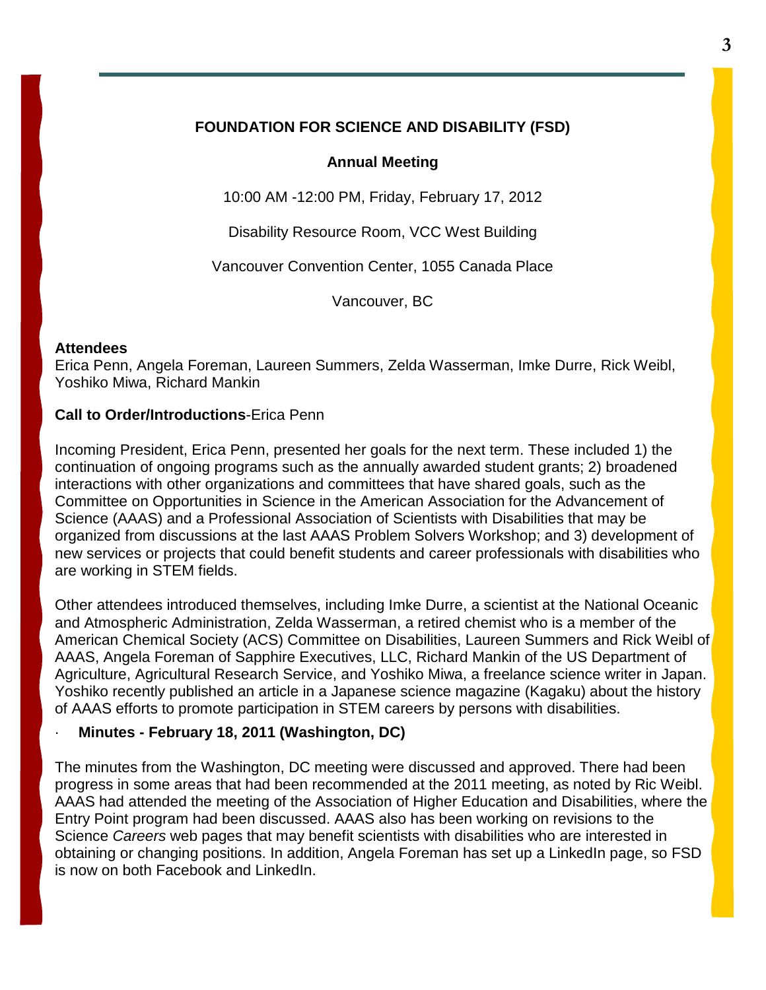#### **FOUNDATION FOR SCIENCE AND DISABILITY (FSD)**

#### **Annual Meeting**

10:00 AM -12:00 PM, Friday, February 17, 2012

Disability Resource Room, VCC West Building

Vancouver Convention Center, 1055 Canada Place

Vancouver, BC

#### **Attendees**

Erica Penn, Angela Foreman, Laureen Summers, Zelda Wasserman, Imke Durre, Rick Weibl, Yoshiko Miwa, Richard Mankin

#### **Call to Order/Introductions**-Erica Penn

Incoming President, Erica Penn, presented her goals for the next term. These included 1) the continuation of ongoing programs such as the annually awarded student grants; 2) broadened interactions with other organizations and committees that have shared goals, such as the Committee on Opportunities in Science in the American Association for the Advancement of Science (AAAS) and a Professional Association of Scientists with Disabilities that may be organized from discussions at the last AAAS Problem Solvers Workshop; and 3) development of new services or projects that could benefit students and career professionals with disabilities who are working in STEM fields.

Other attendees introduced themselves, including Imke Durre, a scientist at the National Oceanic and Atmospheric Administration, Zelda Wasserman, a retired chemist who is a member of the American Chemical Society (ACS) Committee on Disabilities, Laureen Summers and Rick Weibl of AAAS, Angela Foreman of Sapphire Executives, LLC, Richard Mankin of the US Department of Agriculture, Agricultural Research Service, and Yoshiko Miwa, a freelance science writer in Japan. Yoshiko recently published an article in a Japanese science magazine (Kagaku) about the history of AAAS efforts to promote participation in STEM careers by persons with disabilities.

#### · **Minutes - February 18, 2011 (Washington, DC)**

The minutes from the Washington, DC meeting were discussed and approved. There had been progress in some areas that had been recommended at the 2011 meeting, as noted by Ric Weibl. AAAS had attended the meeting of the Association of Higher Education and Disabilities, where the Entry Point program had been discussed. AAAS also has been working on revisions to the Science *Careers* web pages that may benefit scientists with disabilities who are interested in obtaining or changing positions. In addition, Angela Foreman has set up a LinkedIn page, so FSD is now on both Facebook and LinkedIn.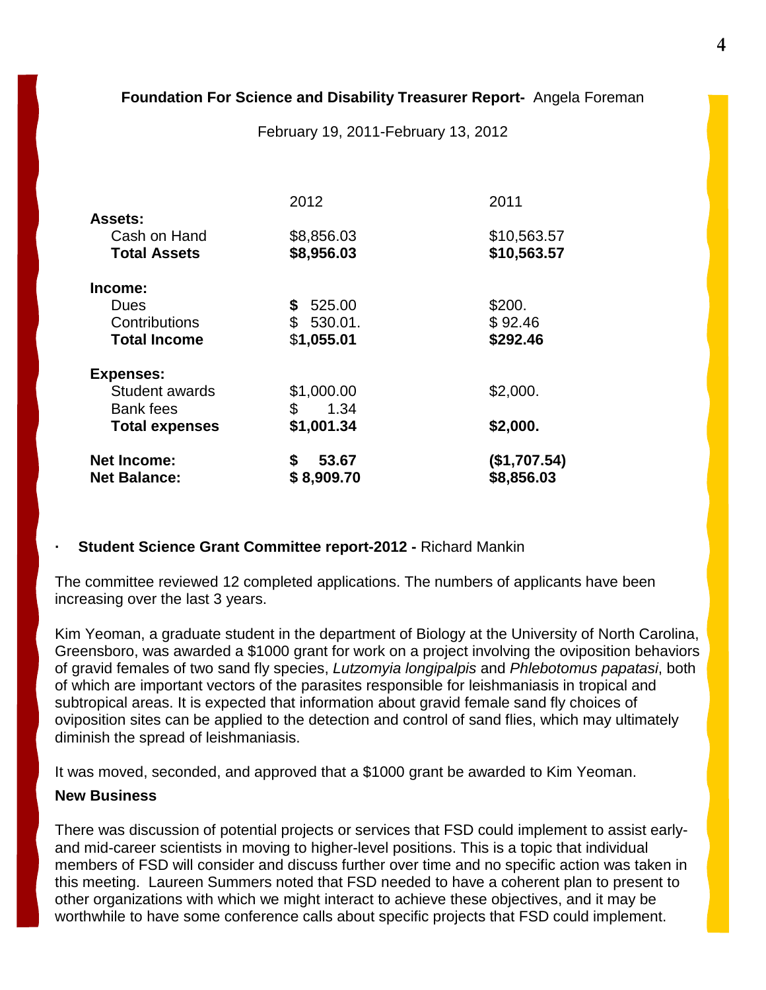#### **Foundation For Science and Disability Treasurer Report-** Angela Foreman

February 19, 2011-February 13, 2012

|                       | 2012         | 2011         |
|-----------------------|--------------|--------------|
| <b>Assets:</b>        |              |              |
| Cash on Hand          | \$8,856.03   | \$10,563.57  |
| <b>Total Assets</b>   | \$8,956.03   | \$10,563.57  |
| Income:               |              |              |
| Dues                  | 525.00<br>\$ | \$200.       |
| Contributions         | \$530.01.    | \$92.46      |
| <b>Total Income</b>   | \$1,055.01   | \$292.46     |
| <b>Expenses:</b>      |              |              |
| Student awards        | \$1,000.00   | \$2,000.     |
| <b>Bank fees</b>      | \$<br>1.34   |              |
| <b>Total expenses</b> | \$1,001.34   | \$2,000.     |
| <b>Net Income:</b>    | \$<br>53.67  | (\$1,707.54) |
| <b>Net Balance:</b>   | \$8,909.70   | \$8,856.03   |

#### **· Student Science Grant Committee report-2012 -** Richard Mankin

The committee reviewed 12 completed applications. The numbers of applicants have been increasing over the last 3 years.

Kim Yeoman, a graduate student in the department of Biology at the University of North Carolina, Greensboro, was awarded a \$1000 grant for work on a project involving the oviposition behaviors of gravid females of two sand fly species, *Lutzomyia longipalpis* and *Phlebotomus papatasi*, both of which are important vectors of the parasites responsible for leishmaniasis in tropical and subtropical areas. It is expected that information about gravid female sand fly choices of oviposition sites can be applied to the detection and control of sand flies, which may ultimately diminish the spread of leishmaniasis.

It was moved, seconded, and approved that a \$1000 grant be awarded to Kim Yeoman.

#### **New Business**

There was discussion of potential projects or services that FSD could implement to assist earlyand mid-career scientists in moving to higher-level positions. This is a topic that individual members of FSD will consider and discuss further over time and no specific action was taken in this meeting. Laureen Summers noted that FSD needed to have a coherent plan to present to other organizations with which we might interact to achieve these objectives, and it may be worthwhile to have some conference calls about specific projects that FSD could implement.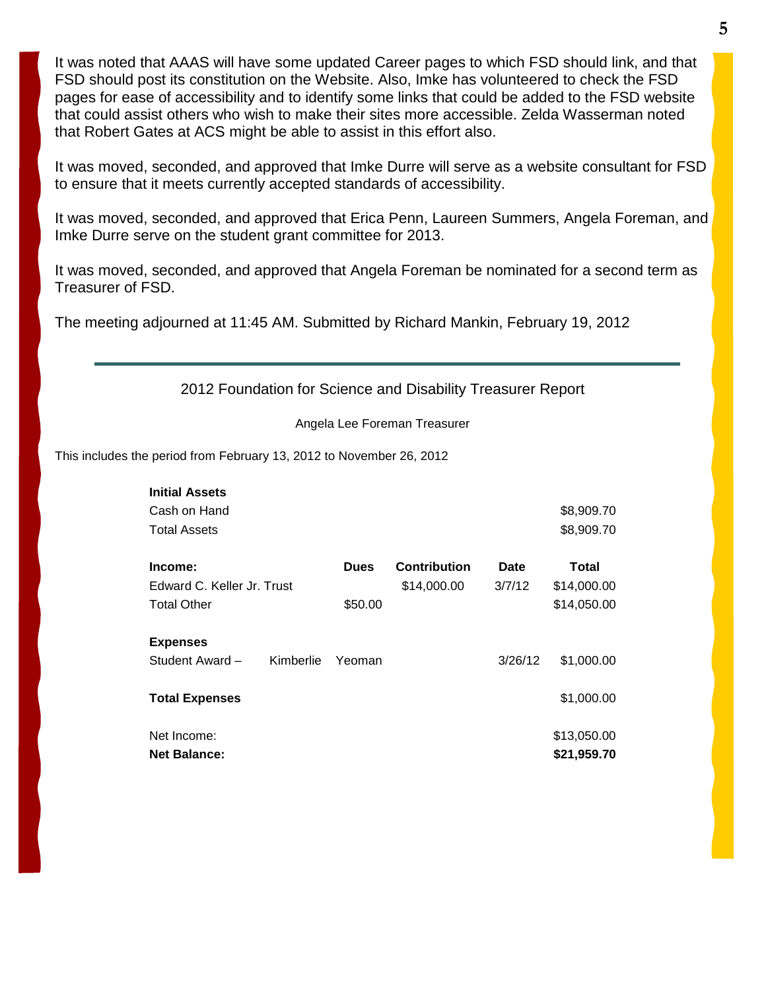It was noted that AAAS will have some updated Career pages to which FSD should link, and that FSD should post its constitution on the Website. Also, Imke has volunteered to check the FSD pages for ease of accessibility and to identify some links that could be added to the FSD website that could assist others who wish to make their sites more accessible. Zelda Wasserman noted that Robert Gates at ACS might be able to assist in this effort also.

It was moved, seconded, and approved that Imke Durre will serve as a website consultant for FSD to ensure that it meets currently accepted standards of accessibility.

It was moved, seconded, and approved that Erica Penn, Laureen Summers, Angela Foreman, and Imke Durre serve on the student grant committee for 2013.

It was moved, seconded, and approved that Angela Foreman be nominated for a second term as Treasurer of FSD.

The meeting adjourned at 11:45 AM. Submitted by Richard Mankin, February 19, 2012

2012 Foundation for Science and Disability Treasurer Report

Angela Lee Foreman Treasurer

This includes the period from February 13, 2012 to November 26, 2012

| <b>Initial Assets</b>        |             |                     |         |             |
|------------------------------|-------------|---------------------|---------|-------------|
| Cash on Hand                 |             |                     |         | \$8,909.70  |
| <b>Total Assets</b>          |             |                     |         | \$8,909.70  |
| Income:                      | <b>Dues</b> | <b>Contribution</b> | Date    | Total       |
| Edward C. Keller Jr. Trust   |             | \$14,000.00         | 3/7/12  | \$14,000.00 |
| <b>Total Other</b>           | \$50.00     |                     |         | \$14,050.00 |
| <b>Expenses</b>              |             |                     |         |             |
| Student Award -<br>Kimberlie | Yeoman      |                     | 3/26/12 | \$1,000.00  |
| <b>Total Expenses</b>        |             |                     |         | \$1,000.00  |
| Net Income:                  |             |                     |         | \$13,050.00 |
| <b>Net Balance:</b>          |             |                     |         | \$21,959.70 |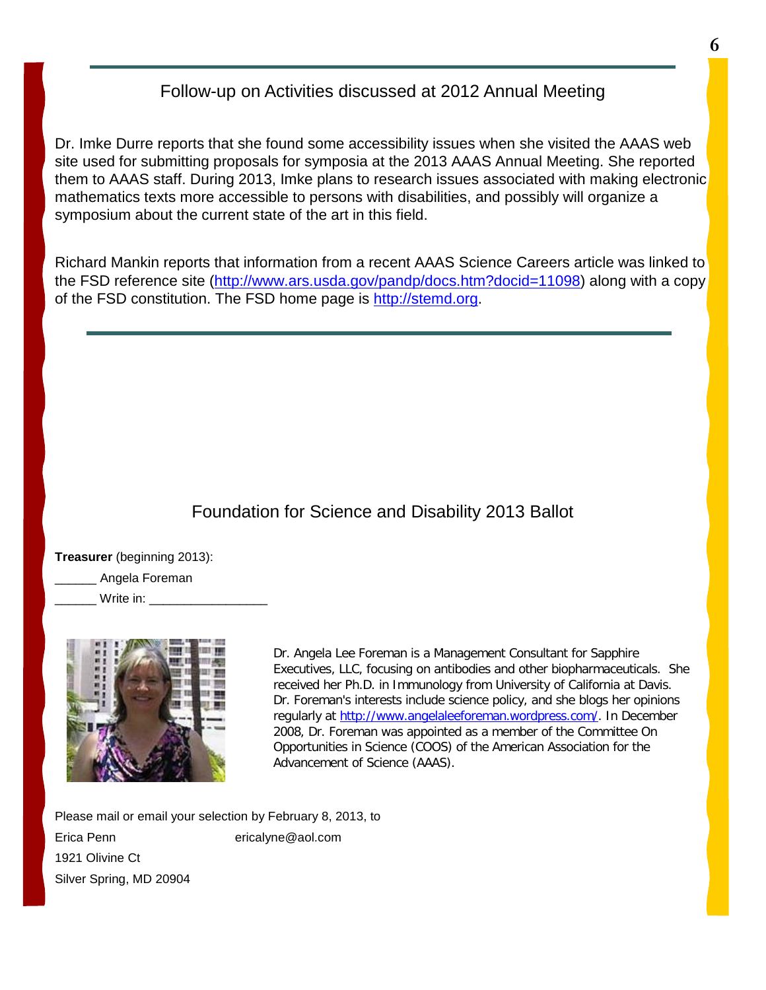## Follow-up on Activities discussed at 2012 Annual Meeting

Dr. Imke Durre reports that she found some accessibility issues when she visited the AAAS web site used for submitting proposals for symposia at the 2013 AAAS Annual Meeting. She reported them to AAAS staff. During 2013, Imke plans to research issues associated with making electronic mathematics texts more accessible to persons with disabilities, and possibly will organize a symposium about the current state of the art in this field.

Richard Mankin reports that information from a recent AAAS Science Careers article was linked to the FSD reference site [\(http://www.ars.usda.gov/pandp/docs.htm?docid=11098\)](http://www.ars.usda.gov/pandp/docs.htm?docid=11098) along with a copy of the FSD constitution. The FSD home page is [http://stemd.org.](http://stemd.org/)

## Foundation for Science and Disability 2013 Ballot

**Treasurer** (beginning 2013):

\_\_\_\_\_\_ Angela Foreman

Write in:



Dr. Angela Lee Foreman is a Management Consultant for Sapphire Executives, LLC, focusing on antibodies and other biopharmaceuticals. She received her Ph.D. in Immunology from University of California at Davis. Dr. Foreman's interests include science policy, and she blogs her opinions regularly at [http://www.angelaleeforeman.wordpress.com/.](http://www.angelaleeforeman.wordpress.com/) In December 2008, Dr. Foreman was appointed as a member of the Committee On Opportunities in Science (COOS) of the American Association for the Advancement of Science (AAAS).

Please mail or email your selection by February 8, 2013, to Erica Penn ericalyne@aol.com 1921 Olivine Ct Silver Spring, MD 20904